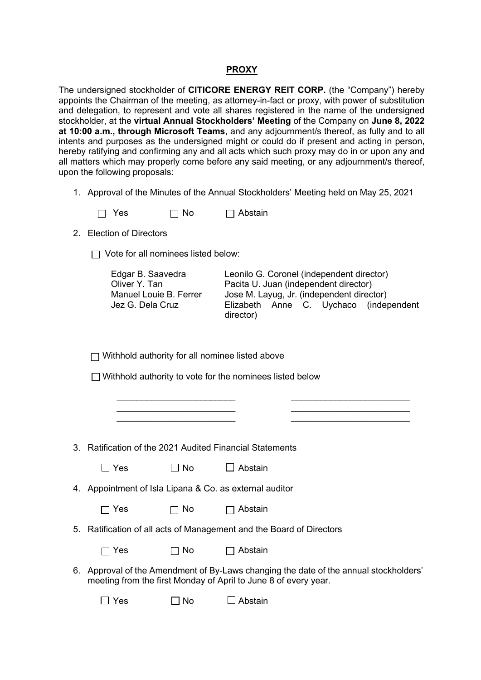## **PROXY**

The undersigned stockholder of **CITICORE ENERGY REIT CORP.** (the "Company") hereby appoints the Chairman of the meeting, as attorney-in-fact or proxy, with power of substitution and delegation, to represent and vote all shares registered in the name of the undersigned stockholder, at the **virtual Annual Stockholders' Meeting** of the Company on **June 8, 2022 at 10:00 a.m., through Microsoft Teams**, and any adjournment/s thereof, as fully and to all intents and purposes as the undersigned might or could do if present and acting in person, hereby ratifying and confirming any and all acts which such proxy may do in or upon any and all matters which may properly come before any said meeting, or any adjournment/s thereof, upon the following proposals:

1. Approval of the Minutes of the Annual Stockholders' Meeting held on May 25, 2021

| $\Box$ Yes | $\Box$ No | $\Box$ Abstain |
|------------|-----------|----------------|
|------------|-----------|----------------|

2. Election of Directors

 $\Box$  Vote for all nominees listed below:

| Edgar B. Saavedra      | Leonilo G. Coronel (independent director)           |
|------------------------|-----------------------------------------------------|
| Oliver Y. Tan          | Pacita U. Juan (independent director)               |
| Manuel Louie B. Ferrer | Jose M. Layug, Jr. (independent director)           |
| Jez G. Dela Cruz       | Elizabeth Anne C. Uychaco (independent<br>director) |

\_\_\_\_\_\_\_\_\_\_\_\_\_\_\_\_\_\_\_\_\_\_\_\_ \_\_\_\_\_\_\_\_\_\_\_\_\_\_\_\_\_\_\_\_\_\_\_\_ \_\_\_\_\_\_\_\_\_\_\_\_\_\_\_\_\_\_\_\_\_\_\_\_ \_\_\_\_\_\_\_\_\_\_\_\_\_\_\_\_\_\_\_\_\_\_\_\_ \_\_\_\_\_\_\_\_\_\_\_\_\_\_\_\_\_\_\_\_\_\_\_\_ \_\_\_\_\_\_\_\_\_\_\_\_\_\_\_\_\_\_\_\_\_\_\_\_

 $\Box$  Withhold authority for all nominee listed above

 $\Box$  Withhold authority to vote for the nominees listed below

3. Ratification of the 2021 Audited Financial Statements

| $\Box$ Yes | $\Box$ No | $\Box$ Abstain |
|------------|-----------|----------------|
|------------|-----------|----------------|

4. Appointment of Isla Lipana & Co. as external auditor

| $\Box$ Yes | $\Box$ No | $\Box$ Abstain |
|------------|-----------|----------------|
|------------|-----------|----------------|

5. Ratification of all acts of Management and the Board of Directors

| $\Box$ Yes | $\Box$ No | $\Box$ Abstain |
|------------|-----------|----------------|
|------------|-----------|----------------|

6. Approval of the Amendment of By-Laws changing the date of the annual stockholders' meeting from the first Monday of April to June 8 of every year.

 $\Box$  Yes  $\Box$  No  $\Box$  Abstain